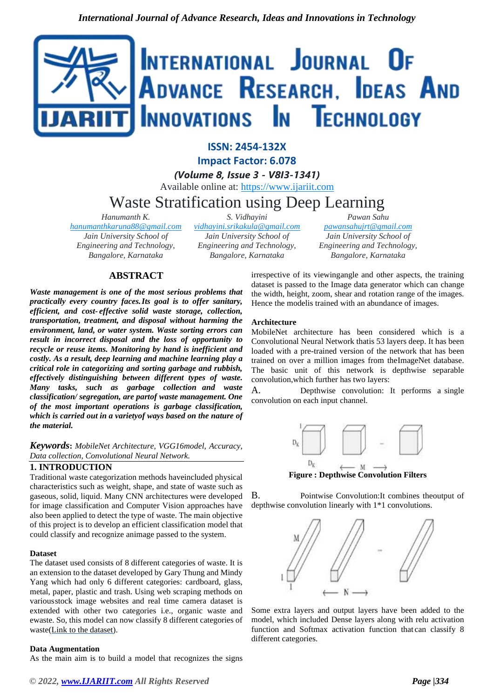

**ISSN: 2454-132X Impact Factor: 6.078**

*(Volume 8, Issue 3 - V8I3-1341)* Available online at: [https://www.ijariit.com](https://www.ijariit.com/?utm_source=pdf&utm_medium=edition&utm_campaign=OmAkSols&utm_term=V8I3-1341)

# Waste Stratification using Deep Learning

*Hanumanth K.*

*[hanumanthkaruna88@gmail.com](mailto:hanumanthkaruna88@gmail.com) Jain University School of Engineering and Technology, Bangalore, Karnataka*

*S. Vidhayini [vidhayini.srikakula@gmail.com](mailto:vidhayini.srikakula@gmail.com) Jain University School of Engineering and Technology, Bangalore, Karnataka*

*Pawan Sahu [pawansahujrt@gmail.com](mailto:pawansahujrt@gmail.com) Jain University School of Engineering and Technology, Bangalore, Karnataka*

# **ABSTRACT**

*Waste management is one of the most serious problems that practically every country faces.Its goal is to offer sanitary, efficient, and cost- effective solid waste storage, collection, transportation, treatment, and disposal without harming the environment, land, or water system. Waste sorting errors can result in incorrect disposal and the loss of opportunity to recycle or reuse items. Monitoring by hand is inefficient and costly. As a result, deep learning and machine learning play a critical role in categorizing and sorting garbage and rubbish, effectively distinguishing between different types of waste. Many tasks, such as garbage collection and waste classification/ segregation, are partof waste management. One of the most important operations is garbage classification, which is carried out in a varietyof ways based on the nature of the material.*

*Keywords***:** *MobileNet Architecture, VGG16model, Accuracy, Data collection, Convolutional Neural Network.*

## **1. INTRODUCTION**

Traditional waste categorization methods haveincluded physical characteristics such as weight, shape, and state of waste such as gaseous, solid, liquid. Many CNN architectures were developed for image classification and Computer Vision approaches have also been applied to detect the type of waste. The main objective of this project is to develop an efficient classification model that could classify and recognize animage passed to the system.

## **Dataset**

The dataset used consists of 8 different categories of waste. It is an extension to the dataset developed by Gary Thung and Mindy Yang which had only 6 different categories: cardboard, glass, metal, paper, plastic and trash. Using web scraping methods on variousstock image websites and real time camera dataset is extended with other two categories i.e., organic waste and ewaste. So, this model can now classify 8 different categories of waste(Link [to the dataset\)](https://drive.google.com/drive/folders/1bsCDCmRlC9Pp01QrvNK3J08SLmer9zMA).

#### **Data Augmentation**

As the main aim is to build a model that recognizes the signs

irrespective of its viewingangle and other aspects, the training dataset is passed to the Image data generator which can change the width, height, zoom, shear and rotation range of the images. Hence the modelis trained with an abundance of images.

#### **Architecture**

MobileNet architecture has been considered which is a Convolutional Neural Network thatis 53 layers deep. It has been loaded with a pre-trained version of the network that has been trained on over a million images from theImageNet database. The basic unit of this network is depthwise separable convolution,which further has two layers:

A. Depthwise convolution: It performs a single convolution on each input channel.



**Figure : Depthwise Convolution Filters**

B. Pointwise Convolution:It combines theoutput of depthwise convolution linearly with 1\*1 convolutions.



Some extra layers and output layers have been added to the model, which included Dense layers along with relu activation function and Softmax activation function that can classify 8 different categories.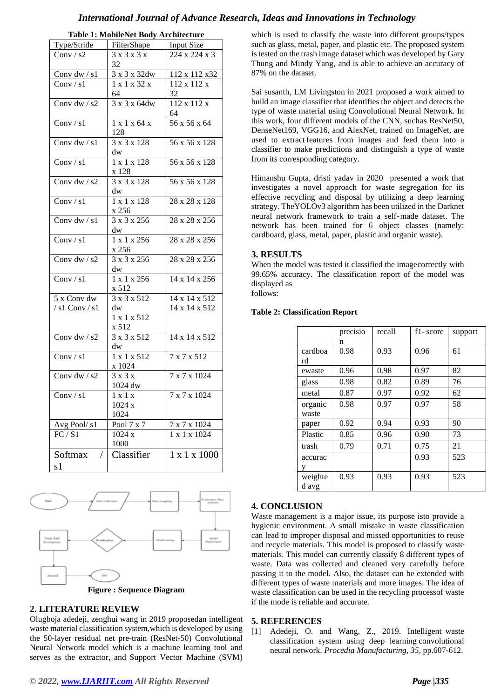## *International Journal of Advance Research, Ideas and Innovations in Technology*

| Type/Stride           | FilterShape               | Input Size                |  |
|-----------------------|---------------------------|---------------------------|--|
| Conv / $s2$           | 3x3x3x                    | 224 x 224 x 3             |  |
|                       | 32                        |                           |  |
|                       |                           |                           |  |
| Conv $dw / s1$        | $3 \times 3 \times 32$ dw | 112 x 112 x 32            |  |
| Conv / $s1$           | 1 x 1 x 32 x              | 112 x 112 x               |  |
|                       | 64                        | 32                        |  |
| Conv dw / $s2$        | 3 x 3 x 64dw              | $112 \times 112 \times$   |  |
|                       |                           | 64                        |  |
| Conv / s1             | 1 x 1 x 64 x              | 56 x 56 x 64              |  |
|                       | 128                       |                           |  |
| Conv dw $/s1$         | 3 x 3 x 128               | 56 x 56 x 128             |  |
|                       | dw                        |                           |  |
| Conv / $s1$           | 1 x 1 x 128               | 56 x 56 x 128             |  |
|                       | x 128                     |                           |  |
| Conv dw / $s2$        | $3 \times 3 \times 128$   | $56 \times 56 \times 128$ |  |
|                       | dw                        |                           |  |
| Conv $/s1$            | $1 \times 1 \times 128$   | 28 x 28 x 128             |  |
|                       | x 256                     |                           |  |
| Conv dw / $s1$        | $3 \times 3 \times 256$   | 28 x 28 x 256             |  |
|                       |                           |                           |  |
|                       | dw                        |                           |  |
| Conv / s1             | $1 \times 1 \times 256$   | 28 x 28 x 256             |  |
|                       | x 256                     |                           |  |
| Conv dw / s2          | $3 \times 3 \times 256$   | 28 x 28 x 256             |  |
|                       | dw                        |                           |  |
| Conv / $s1$           | $1 \times 1 \times 256$   | 14 x 14 x 256             |  |
|                       | x 512                     |                           |  |
| 5 x Conv dw           | 3 x 3 x 512               | 14 x 14 x 512             |  |
| $/s1$ Conv $/s1$      | dw                        | 14 x 14 x 512             |  |
|                       | 1 x 1 x 512               |                           |  |
|                       | x 512                     |                           |  |
| Conv dw / s2          | $3 \times 3 \times 512$   | $14 \times 14 \times 512$ |  |
|                       | dw                        |                           |  |
| Conv / $s1$           | 1 x 1 x 512               | 7 x 7 x 512               |  |
|                       | x 1024                    |                           |  |
| Conv dw / $s2$        | 3x3x                      | 7 x 7 x 1024              |  |
|                       | 1024 dw                   |                           |  |
| Conv / s1             | 1 x 1 x                   | 7 x 7 x 1024              |  |
|                       | 1024x                     |                           |  |
|                       |                           |                           |  |
|                       | 1024                      |                           |  |
| Avg Pool/s1           | Pool 7 x 7                | $7$ x $7$ x $1024\,$      |  |
| FC / S1               | 1024 x                    | 1 x 1 x 1024              |  |
|                       | 1000                      |                           |  |
| Softmax<br>$\sqrt{2}$ | Classifier                | 1 x 1 x 1000              |  |
| s1                    |                           |                           |  |

**Table 1: MobileNet Body Architecture**

which is used to classify the waste into different groups/types such as glass, metal, paper, and plastic etc. The proposed system is tested on the trash image dataset which was developed by Gary Thung and Mindy Yang, and is able to achieve an accuracy of 87% on the dataset.

Sai susanth, LM Livingston in 2021 proposed a work aimed to build an image classifier that identifies the object and detects the type of waste material using Convolutional Neural Network. In this work, four different models of the CNN, suchas ResNet50, DenseNet169, VGG16, and AlexNet, trained on ImageNet, are used to extract features from images and feed them into a classifier to make predictions and distinguish a type of waste from its corresponding category.

Himanshu Gupta, dristi yadav in 2020 presented a work that investigates a novel approach for waste segregation for its effective recycling and disposal by utilizing a deep learning strategy. TheYOLOv3 algorithm has been utilized in the Darknet neural network framework to train a self-made dataset. The network has been trained for 6 object classes (namely: cardboard, glass, metal, paper, plastic and organic waste).

## **3. RESULTS**

When the model was tested it classified the imagecorrectly with 99.65% accuracy. The classification report of the model was displayed as

follows:

#### **Table 2: Classification Report**

|         | precisio | recall | f1-score | support |
|---------|----------|--------|----------|---------|
|         | n        |        |          |         |
| cardboa | 0.98     | 0.93   | 0.96     | 61      |
| rd      |          |        |          |         |
| ewaste  | 0.96     | 0.98   | 0.97     | 82      |
| glass   | 0.98     | 0.82   | 0.89     | 76      |
| metal   | 0.87     | 0.97   | 0.92     | 62      |
| organic | 0.98     | 0.97   | 0.97     | 58      |
| waste   |          |        |          |         |
| paper   | 0.92     | 0.94   | 0.93     | 90      |
| Plastic | 0.85     | 0.96   | 0.90     | 73      |
| trash   | 0.79     | 0.71   | 0.75     | 21      |
| accurac |          |        | 0.93     | 523     |
| v       |          |        |          |         |
| weighte | 0.93     | 0.93   | 0.93     | 523     |
| d avg   |          |        |          |         |



## **2. LITERATURE REVIEW**

Olugboja adedeji, zenghui wang in 2019 proposedan intelligent waste material classification system,which is developed by using the 50-layer residual net pre-train (ResNet-50) Convolutional Neural Network model which is a machine learning tool and serves as the extractor, and Support Vector Machine (SVM)

## **4. CONCLUSION**

Waste management is a major issue, its purpose isto provide a hygienic environment. A small mistake in waste classification can lead to improper disposal and missed opportunities to reuse and recycle materials. This model is proposed to classify waste materials. This model can currently classify 8 different types of waste. Data was collected and cleaned very carefully before passing it to the model. Also, the dataset can be extended with different types of waste materials and more images. The idea of waste classification can be used in the recycling processof waste if the mode is reliable and accurate.

## **5. REFERENCES**

[1] Adedeji, O. and Wang, Z., 2019. Intelligent waste classification system using deep learning convolutional neural network. *Procedia Manufacturing*, *35*, pp.607-612.